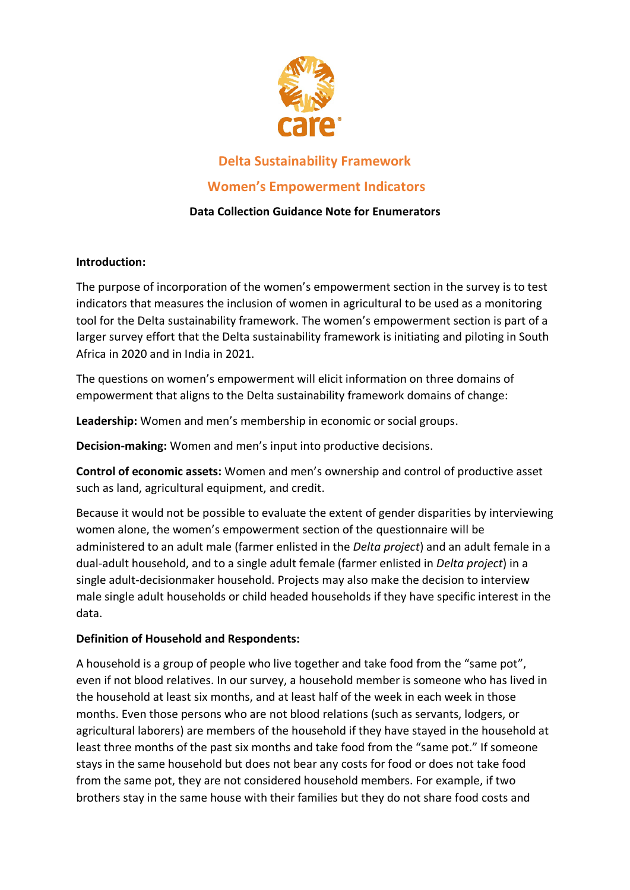

# **Delta Sustainability Framework**

## **Women's Empowerment Indicators**

## **Data Collection Guidance Note for Enumerators**

### **Introduction:**

The purpose of incorporation of the women's empowerment section in the survey is to test indicators that measures the inclusion of women in agricultural to be used as a monitoring tool for the Delta sustainability framework. The women's empowerment section is part of a larger survey effort that the Delta sustainability framework is initiating and piloting in South Africa in 2020 and in India in 2021.

The questions on women's empowerment will elicit information on three domains of empowerment that aligns to the Delta sustainability framework domains of change:

**Leadership:** Women and men's membership in economic or social groups.

**Decision-making:** Women and men's input into productive decisions.

**Control of economic assets:** Women and men's ownership and control of productive asset such as land, agricultural equipment, and credit.

Because it would not be possible to evaluate the extent of gender disparities by interviewing women alone, the women's empowerment section of the questionnaire will be administered to an adult male (farmer enlisted in the *Delta project*) and an adult female in a dual-adult household, and to a single adult female (farmer enlisted in *Delta project*) in a single adult-decisionmaker household. Projects may also make the decision to interview male single adult households or child headed households if they have specific interest in the data.

## **Definition of Household and Respondents:**

A household is a group of people who live together and take food from the "same pot", even if not blood relatives. In our survey, a household member is someone who has lived in the household at least six months, and at least half of the week in each week in those months. Even those persons who are not blood relations (such as servants, lodgers, or agricultural laborers) are members of the household if they have stayed in the household at least three months of the past six months and take food from the "same pot." If someone stays in the same household but does not bear any costs for food or does not take food from the same pot, they are not considered household members. For example, if two brothers stay in the same house with their families but they do not share food costs and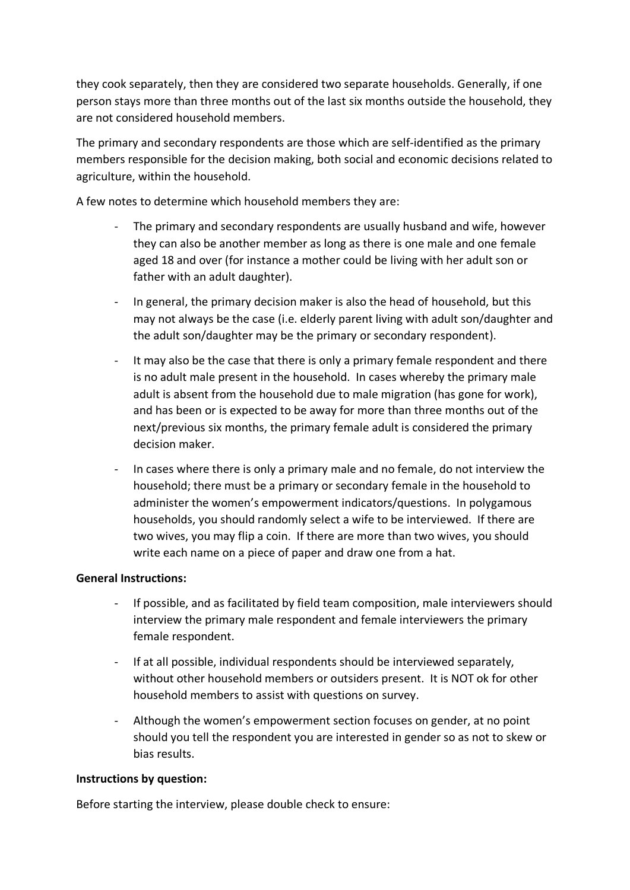they cook separately, then they are considered two separate households. Generally, if one person stays more than three months out of the last six months outside the household, they are not considered household members.

The primary and secondary respondents are those which are self-identified as the primary members responsible for the decision making, both social and economic decisions related to agriculture, within the household.

A few notes to determine which household members they are:

- The primary and secondary respondents are usually husband and wife, however they can also be another member as long as there is one male and one female aged 18 and over (for instance a mother could be living with her adult son or father with an adult daughter).
- In general, the primary decision maker is also the head of household, but this may not always be the case (i.e. elderly parent living with adult son/daughter and the adult son/daughter may be the primary or secondary respondent).
- It may also be the case that there is only a primary female respondent and there is no adult male present in the household. In cases whereby the primary male adult is absent from the household due to male migration (has gone for work), and has been or is expected to be away for more than three months out of the next/previous six months, the primary female adult is considered the primary decision maker.
- In cases where there is only a primary male and no female, do not interview the household; there must be a primary or secondary female in the household to administer the women's empowerment indicators/questions. In polygamous households, you should randomly select a wife to be interviewed. If there are two wives, you may flip a coin. If there are more than two wives, you should write each name on a piece of paper and draw one from a hat.

#### **General Instructions:**

- If possible, and as facilitated by field team composition, male interviewers should interview the primary male respondent and female interviewers the primary female respondent.
- If at all possible, individual respondents should be interviewed separately, without other household members or outsiders present. It is NOT ok for other household members to assist with questions on survey.
- Although the women's empowerment section focuses on gender, at no point should you tell the respondent you are interested in gender so as not to skew or bias results.

#### **Instructions by question:**

Before starting the interview, please double check to ensure: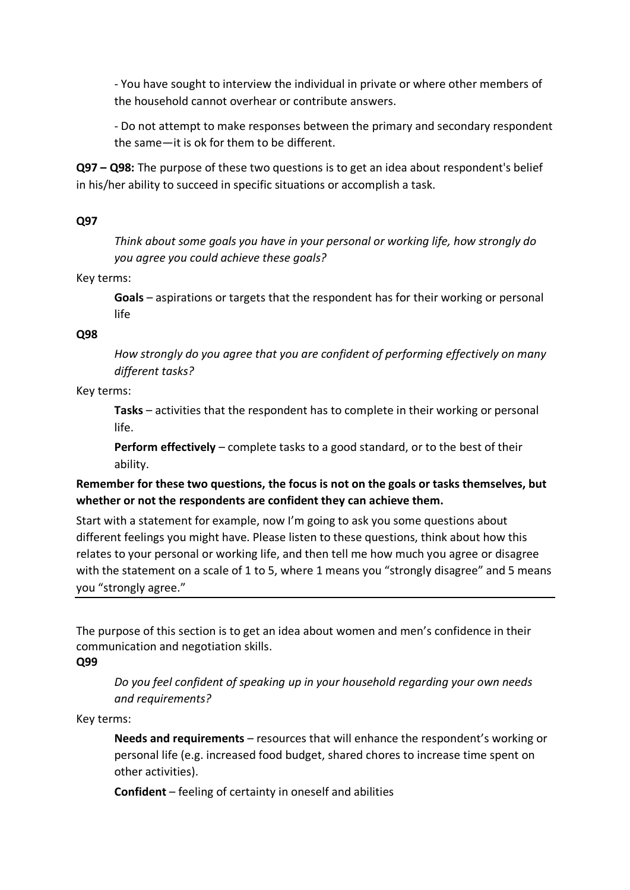- You have sought to interview the individual in private or where other members of the household cannot overhear or contribute answers.

- Do not attempt to make responses between the primary and secondary respondent the same—it is ok for them to be different.

**Q97 – Q98:** The purpose of these two questions is to get an idea about respondent's belief in his/her ability to succeed in specific situations or accomplish a task.

### **Q97**

*Think about some goals you have in your personal or working life, how strongly do you agree you could achieve these goals?*

Key terms:

**Goals** – aspirations or targets that the respondent has for their working or personal life

### **Q98**

*How strongly do you agree that you are confident of performing effectively on many different tasks?*

### Key terms:

**Tasks** – activities that the respondent has to complete in their working or personal life.

**Perform effectively** – complete tasks to a good standard, or to the best of their ability.

## **Remember for these two questions, the focus is not on the goals or tasks themselves, but whether or not the respondents are confident they can achieve them.**

Start with a statement for example, now I'm going to ask you some questions about different feelings you might have. Please listen to these questions, think about how this relates to your personal or working life, and then tell me how much you agree or disagree with the statement on a scale of 1 to 5, where 1 means you "strongly disagree" and 5 means you "strongly agree."

The purpose of this section is to get an idea about women and men's confidence in their communication and negotiation skills.

## **Q99**

*Do you feel confident of speaking up in your household regarding your own needs and requirements?*

Key terms:

**Needs and requirements** – resources that will enhance the respondent's working or personal life (e.g. increased food budget, shared chores to increase time spent on other activities).

**Confident** – feeling of certainty in oneself and abilities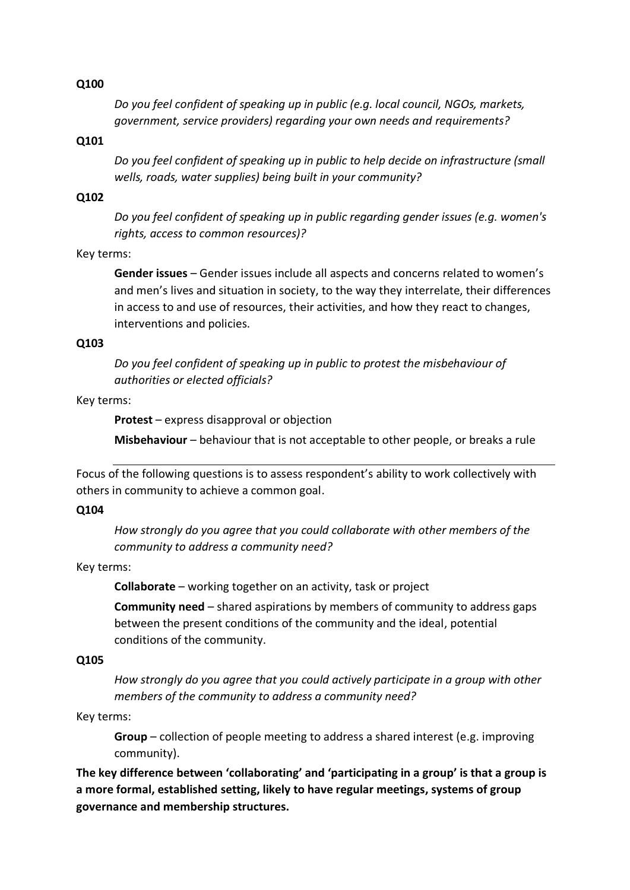*Do you feel confident of speaking up in public (e.g. local council, NGOs, markets, government, service providers) regarding your own needs and requirements?*

### **Q101**

*Do you feel confident of speaking up in public to help decide on infrastructure (small wells, roads, water supplies) being built in your community?*

#### **Q102**

*Do you feel confident of speaking up in public regarding gender issues (e.g. women's rights, access to common resources)?*

#### Key terms:

**Gender issues** – Gender issues include all aspects and concerns related to women's and men's lives and situation in society, to the way they interrelate, their differences in access to and use of resources, their activities, and how they react to changes, interventions and policies.

#### **Q103**

*Do you feel confident of speaking up in public to protest the misbehaviour of authorities or elected officials?*

#### Key terms:

**Protest** – express disapproval or objection

**Misbehaviour** – behaviour that is not acceptable to other people, or breaks a rule

Focus of the following questions is to assess respondent's ability to work collectively with others in community to achieve a common goal.

#### **Q104**

*How strongly do you agree that you could collaborate with other members of the community to address a community need?*

#### Key terms:

**Collaborate** – working together on an activity, task or project

**Community need** – shared aspirations by members of community to address gaps between the present conditions of the community and the ideal, potential conditions of the community.

#### **Q105**

*How strongly do you agree that you could actively participate in a group with other members of the community to address a community need?*

#### Key terms:

**Group** – collection of people meeting to address a shared interest (e.g. improving community).

**The key difference between 'collaborating' and 'participating in a group' is that a group is a more formal, established setting, likely to have regular meetings, systems of group governance and membership structures.**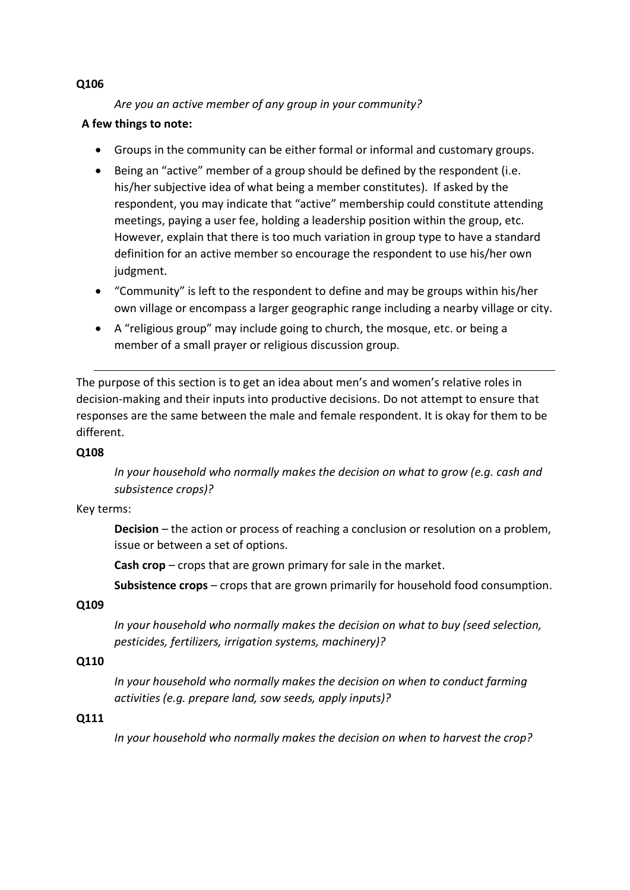*Are you an active member of any group in your community?*

## **A few things to note:**

- Groups in the community can be either formal or informal and customary groups.
- Being an "active" member of a group should be defined by the respondent (i.e. his/her subjective idea of what being a member constitutes). If asked by the respondent, you may indicate that "active" membership could constitute attending meetings, paying a user fee, holding a leadership position within the group, etc. However, explain that there is too much variation in group type to have a standard definition for an active member so encourage the respondent to use his/her own judgment.
- "Community" is left to the respondent to define and may be groups within his/her own village or encompass a larger geographic range including a nearby village or city.
- A "religious group" may include going to church, the mosque, etc. or being a member of a small prayer or religious discussion group.

The purpose of this section is to get an idea about men's and women's relative roles in decision-making and their inputs into productive decisions. Do not attempt to ensure that responses are the same between the male and female respondent. It is okay for them to be different.

## **Q108**

*In your household who normally makes the decision on what to grow (e.g. cash and subsistence crops)?*

## Key terms:

**Decision** – the action or process of reaching a conclusion or resolution on a problem, issue or between a set of options.

**Cash crop** – crops that are grown primary for sale in the market.

**Subsistence crops** – crops that are grown primarily for household food consumption.

## **Q109**

*In your household who normally makes the decision on what to buy (seed selection, pesticides, fertilizers, irrigation systems, machinery)?*

## **Q110**

*In your household who normally makes the decision on when to conduct farming activities (e.g. prepare land, sow seeds, apply inputs)?*

## **Q111**

*In your household who normally makes the decision on when to harvest the crop?*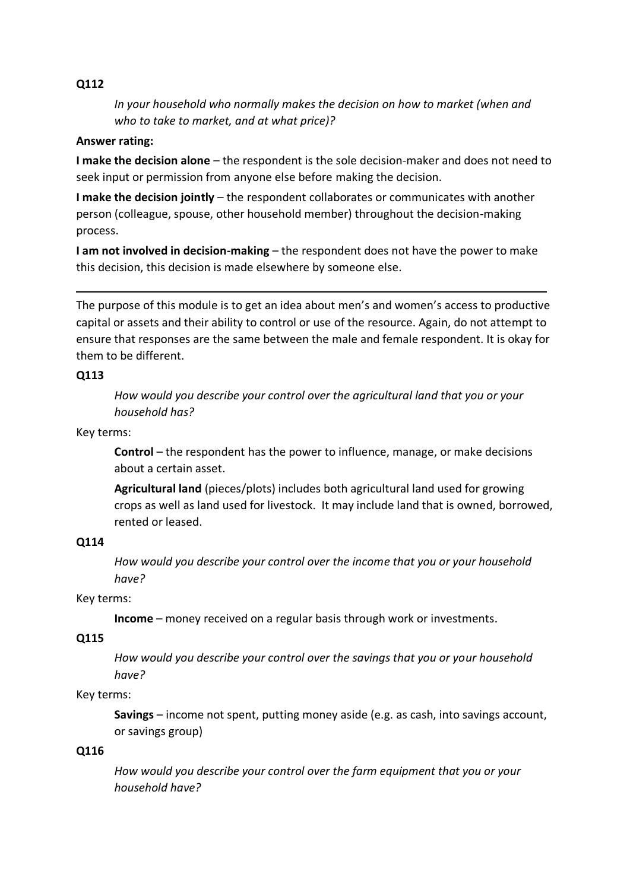*In your household who normally makes the decision on how to market (when and who to take to market, and at what price)?*

### **Answer rating:**

**I make the decision alone** – the respondent is the sole decision-maker and does not need to seek input or permission from anyone else before making the decision.

**I make the decision jointly** – the respondent collaborates or communicates with another person (colleague, spouse, other household member) throughout the decision-making process.

**I am not involved in decision-making** – the respondent does not have the power to make this decision, this decision is made elsewhere by someone else.

The purpose of this module is to get an idea about men's and women's access to productive capital or assets and their ability to control or use of the resource. Again, do not attempt to ensure that responses are the same between the male and female respondent. It is okay for them to be different.

 **x** 

### **Q113**

*How would you describe your control over the agricultural land that you or your household has?*

Key terms:

**Control** – the respondent has the power to influence, manage, or make decisions about a certain asset.

**Agricultural land** (pieces/plots) includes both agricultural land used for growing crops as well as land used for livestock. It may include land that is owned, borrowed, rented or leased.

#### **Q114**

*How would you describe your control over the income that you or your household have?*

Key terms:

**Income** – money received on a regular basis through work or investments.

## **Q115**

*How would you describe your control over the savings that you or your household have?*

#### Key terms:

**Savings** – income not spent, putting money aside (e.g. as cash, into savings account, or savings group)

## **Q116**

*How would you describe your control over the farm equipment that you or your household have?*